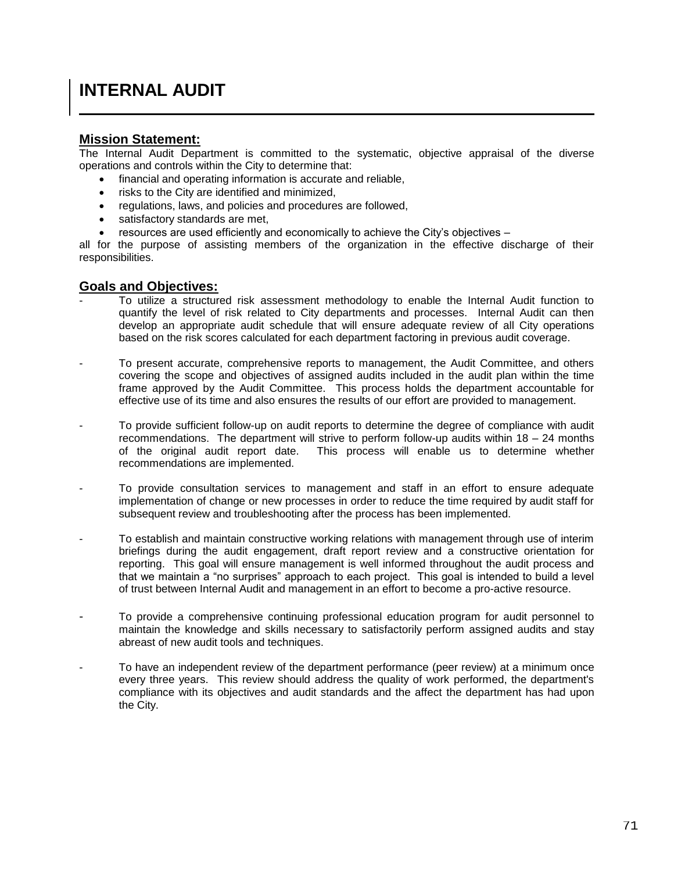## **INTERNAL AUDIT**

## **Mission Statement:**

The Internal Audit Department is committed to the systematic, objective appraisal of the diverse operations and controls within the City to determine that:

- financial and operating information is accurate and reliable,
- risks to the City are identified and minimized,
- regulations, laws, and policies and procedures are followed,
- satisfactory standards are met,
- resources are used efficiently and economically to achieve the City's objectives –

all for the purpose of assisting members of the organization in the effective discharge of their responsibilities.

## **Goals and Objectives:**

- To utilize a structured risk assessment methodology to enable the Internal Audit function to quantify the level of risk related to City departments and processes. Internal Audit can then develop an appropriate audit schedule that will ensure adequate review of all City operations based on the risk scores calculated for each department factoring in previous audit coverage.
- To present accurate, comprehensive reports to management, the Audit Committee, and others covering the scope and objectives of assigned audits included in the audit plan within the time frame approved by the Audit Committee. This process holds the department accountable for effective use of its time and also ensures the results of our effort are provided to management.
- To provide sufficient follow-up on audit reports to determine the degree of compliance with audit recommendations. The department will strive to perform follow-up audits within 18 – 24 months of the original audit report date. This process will enable us to determine whether recommendations are implemented.
- To provide consultation services to management and staff in an effort to ensure adequate implementation of change or new processes in order to reduce the time required by audit staff for subsequent review and troubleshooting after the process has been implemented.
- To establish and maintain constructive working relations with management through use of interim briefings during the audit engagement, draft report review and a constructive orientation for reporting. This goal will ensure management is well informed throughout the audit process and that we maintain a "no surprises" approach to each project. This goal is intended to build a level of trust between Internal Audit and management in an effort to become a pro-active resource.
- To provide a comprehensive continuing professional education program for audit personnel to maintain the knowledge and skills necessary to satisfactorily perform assigned audits and stay abreast of new audit tools and techniques.
- To have an independent review of the department performance (peer review) at a minimum once every three years. This review should address the quality of work performed, the department's compliance with its objectives and audit standards and the affect the department has had upon the City.